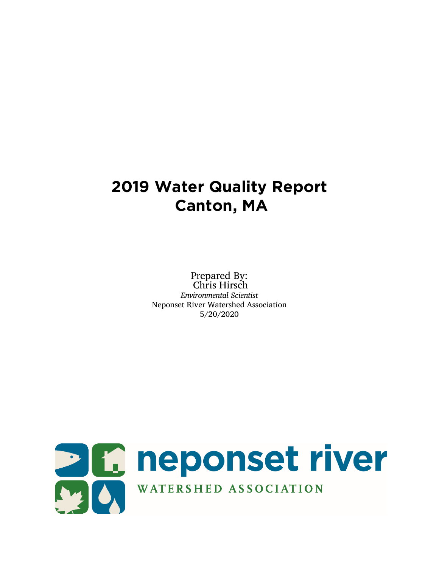# **2019 Water Quality Report Canton, MA**

Prepared By: Chris Hirsch *Environmental Scientist* Neponset River Watershed Association 5/20/2020

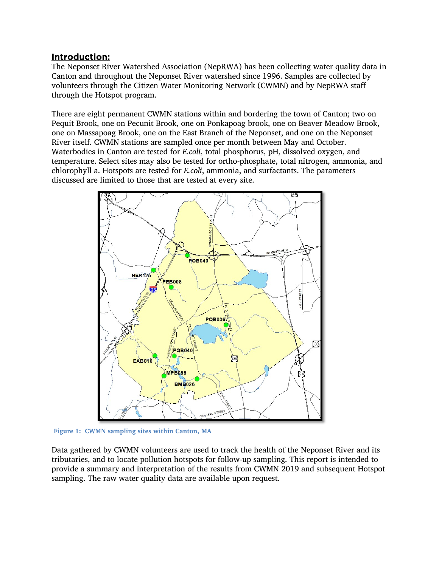### Introduction:

The Neponset River Watershed Association (NepRWA) has been collecting water quality data in Canton and throughout the Neponset River watershed since 1996. Samples are collected by volunteers through the Citizen Water Monitoring Network (CWMN) and by NepRWA staff through the Hotspot program.

There are eight permanent CWMN stations within and bordering the town of Canton; two on Pequit Brook, one on Pecunit Brook, one on Ponkapoag brook, one on Beaver Meadow Brook, one on Massapoag Brook, one on the East Branch of the Neponset, and one on the Neponset River itself. CWMN stations are sampled once per month between May and October. Waterbodies in Canton are tested for *E.coli*, total phosphorus, pH, dissolved oxygen, and temperature. Select sites may also be tested for ortho-phosphate, total nitrogen, ammonia, and chlorophyll a. Hotspots are tested for *E.coli*, ammonia, and surfactants. The parameters discussed are limited to those that are tested at every site.



**Figure 1: CWMN sampling sites within Canton, MA**

Data gathered by CWMN volunteers are used to track the health of the Neponset River and its tributaries, and to locate pollution hotspots for follow-up sampling. This report is intended to provide a summary and interpretation of the results from CWMN 2019 and subsequent Hotspot sampling. The raw water quality data are available upon request.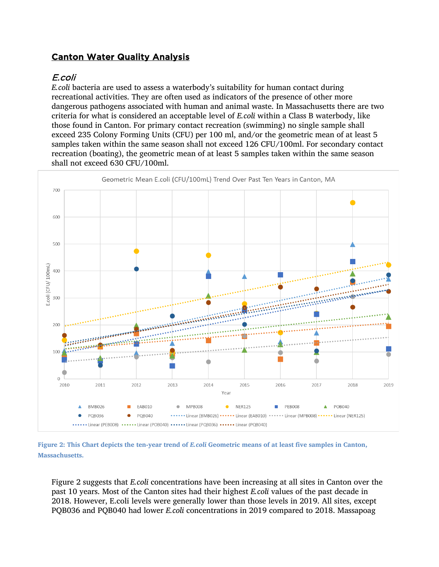# Canton Water Quality Analysis

# E.coli

*E.coli* bacteria are used to assess a waterbody's suitability for human contact during recreational activities. They are often used as indicators of the presence of other more dangerous pathogens associated with human and animal waste. In Massachusetts there are two criteria for what is considered an acceptable level of *E.coli* within a Class B waterbody, like those found in Canton. For primary contact recreation (swimming) no single sample shall exceed 235 Colony Forming Units (CFU) per 100 ml, and/or the geometric mean of at least 5 samples taken within the same season shall not exceed 126 CFU/100ml. For secondary contact recreation (boating), the geometric mean of at least 5 samples taken within the same season shall not exceed 630 CFU/100ml.



**Figure 2: This Chart depicts the ten-year trend of** *E.coli* **Geometric means of at least five samples in Canton, Massachusetts.** 

Figure 2 suggests that *E.coli* concentrations have been increasing at all sites in Canton over the past 10 years. Most of the Canton sites had their highest *E.coli* values of the past decade in 2018. However, E.coli levels were generally lower than those levels in 2019. All sites, except PQB036 and PQB040 had lower *E.coli* concentrations in 2019 compared to 2018. Massapoag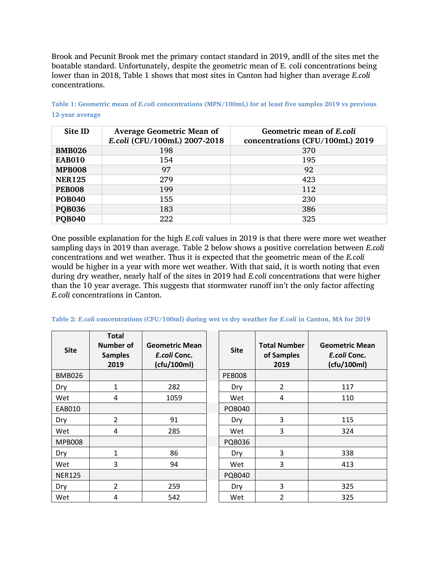Brook and Pecunit Brook met the primary contact standard in 2019, andll of the sites met the boatable standard. Unfortunately, despite the geometric mean of E. coli concentrations being lower than in 2018, Table 1 shows that most sites in Canton had higher than average *E.coli* concentrations.

| Site ID       | <b>Average Geometric Mean of</b><br>E.coli (CFU/100mL) 2007-2018 | Geometric mean of E.coli<br>concentrations (CFU/100mL) 2019 |
|---------------|------------------------------------------------------------------|-------------------------------------------------------------|
| <b>BMB026</b> | 198                                                              | 370                                                         |
| <b>EAB010</b> | 154                                                              | 195                                                         |
| <b>MPB008</b> | 97                                                               | 92                                                          |
| <b>NER125</b> | 279                                                              | 423                                                         |
| <b>PEB008</b> | 199                                                              | 112                                                         |
| <b>POB040</b> | 155                                                              | 230                                                         |
| <b>POB036</b> | 183                                                              | 386                                                         |
| <b>POB040</b> | 222                                                              | 325                                                         |

**Table 1: Geometric mean of** *E.coli* **concentrations (MPN/100mL) for at least five samples 2019 vs previous 12-year average**

One possible explanation for the high *E.coli* values in 2019 is that there were more wet weather sampling days in 2019 than average. Table 2 below shows a positive correlation between *E.coli* concentrations and wet weather. Thus it is expected that the geometric mean of the *E.coli*  would be higher in a year with more wet weather. With that said, it is worth noting that even during dry weather, nearly half of the sites in 2019 had *E.coli* concentrations that were higher than the 10 year average. This suggests that stormwater runoff isn't the only factor affecting *E.coli* concentrations in Canton.

| <b>Site</b>   | <b>Total</b><br><b>Number of</b><br><b>Samples</b><br>2019 | <b>Geometric Mean</b><br>E.coli Conc.<br>(cfu/100ml) | <b>Site</b>   | <b>Total Number</b><br>of Samples<br>2019 | <b>Geometric Mean</b><br>E.coli Conc.<br>(cfu/100ml) |
|---------------|------------------------------------------------------------|------------------------------------------------------|---------------|-------------------------------------------|------------------------------------------------------|
| <b>BMB026</b> |                                                            |                                                      | <b>PEB008</b> |                                           |                                                      |
| Dry           | 1                                                          | 282                                                  | Dry           | $\overline{2}$                            | 117                                                  |
| Wet           | 4                                                          | 1059                                                 | Wet           | 4                                         | 110                                                  |
| <b>EAB010</b> |                                                            |                                                      | <b>POB040</b> |                                           |                                                      |
| Dry           | $\overline{2}$                                             | 91                                                   | Dry           | 3                                         | 115                                                  |
| Wet           | 4                                                          | 285                                                  | Wet           | 3                                         | 324                                                  |
| <b>MPB008</b> |                                                            |                                                      | <b>PQB036</b> |                                           |                                                      |
| Dry           | 1                                                          | 86                                                   | Dry           | 3                                         | 338                                                  |
| Wet           | 3                                                          | 94                                                   | Wet           | 3                                         | 413                                                  |
| <b>NER125</b> |                                                            |                                                      | <b>PQB040</b> |                                           |                                                      |
| Dry           | 2                                                          | 259                                                  | Dry           | 3                                         | 325                                                  |
| Wet           | 4                                                          | 542                                                  | Wet           | $\overline{2}$                            | 325                                                  |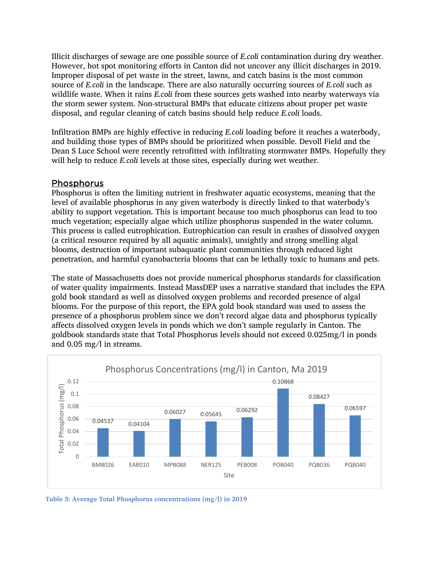Illicit discharges of sewage are one possible source of *E.coli* contamination during dry weather. However, hot spot monitoring efforts in Canton did not uncover any illicit discharges in 2019. Improper disposal of pet waste in the street, lawns, and catch basins is the most common source of *E.coli* in the landscape. There are also naturally occurring sources of *E.coli* such as wildlife waste. When it rains *E.coli* from these sources gets washed into nearby waterways via the storm sewer system. Non-structural BMPs that educate citizens about proper pet waste disposal, and regular cleaning of catch basins should help reduce *E.coli* loads.

Infiltration BMPs are highly effective in reducing *E.coli* loading before it reaches a waterbody, and building those types of BMPs should be prioritized when possible. Devoll Field and the Dean S Luce School were recently retrofitted with infiltrating stormwater BMPs. Hopefully they will help to reduce *E.coli* levels at those sites, especially during wet weather.

#### Phosphorus

Phosphorus is often the limiting nutrient in freshwater aquatic ecosystems, meaning that the level of available phosphorus in any given waterbody is directly linked to that waterbody's ability to support vegetation. This is important because too much phosphorus can lead to too much vegetation; especially algae which utilize phosphorus suspended in the water column. This process is called eutrophication. Eutrophication can result in crashes of dissolved oxygen (a critical resource required by all aquatic animals), unsightly and strong smelling algal blooms, destruction of important subaquatic plant communities through reduced light penetration, and harmful cyanobacteria blooms that can be lethally toxic to humans and pets.

The state of Massachusetts does not provide numerical phosphorus standards for classification of water quality impairments. Instead MassDEP uses a narrative standard that includes the EPA gold book standard as well as dissolved oxygen problems and recorded presence of algal blooms. For the purpose of this report, the EPA gold book standard was used to assess the presence of a phosphorus problem since we don't record algae data and phosphorus typically affects dissolved oxygen levels in ponds which we don't sample regularly in Canton. The goldbook standards state that Total Phosphorus levels should not exceed 0.025mg/l in ponds and 0.05 mg/l in streams.



**Table 3: Average Total Phosphorus concentrations (mg/l) in 2019**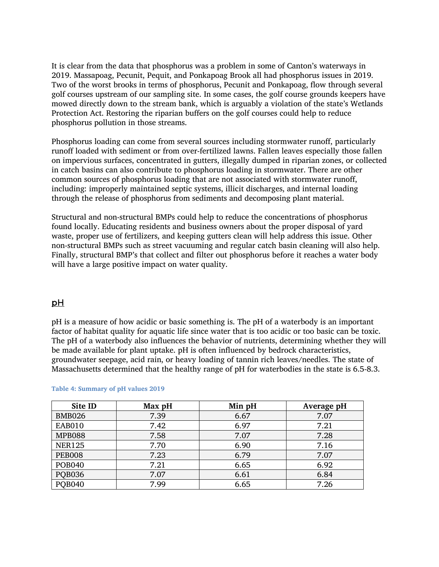It is clear from the data that phosphorus was a problem in some of Canton's waterways in 2019. Massapoag, Pecunit, Pequit, and Ponkapoag Brook all had phosphorus issues in 2019. Two of the worst brooks in terms of phosphorus, Pecunit and Ponkapoag, flow through several golf courses upstream of our sampling site. In some cases, the golf course grounds keepers have mowed directly down to the stream bank, which is arguably a violation of the state's Wetlands Protection Act. Restoring the riparian buffers on the golf courses could help to reduce phosphorus pollution in those streams.

Phosphorus loading can come from several sources including stormwater runoff, particularly runoff loaded with sediment or from over-fertilized lawns. Fallen leaves especially those fallen on impervious surfaces, concentrated in gutters, illegally dumped in riparian zones, or collected in catch basins can also contribute to phosphorus loading in stormwater. There are other common sources of phosphorus loading that are not associated with stormwater runoff, including: improperly maintained septic systems, illicit discharges, and internal loading through the release of phosphorus from sediments and decomposing plant material.

Structural and non-structural BMPs could help to reduce the concentrations of phosphorus found locally. Educating residents and business owners about the proper disposal of yard waste, proper use of fertilizers, and keeping gutters clean will help address this issue. Other non-structural BMPs such as street vacuuming and regular catch basin cleaning will also help. Finally, structural BMP's that collect and filter out phosphorus before it reaches a water body will have a large positive impact on water quality.

#### pH

pH is a measure of how acidic or basic something is. The pH of a waterbody is an important factor of habitat quality for aquatic life since water that is too acidic or too basic can be toxic. The pH of a waterbody also influences the behavior of nutrients, determining whether they will be made available for plant uptake. pH is often influenced by bedrock characteristics, groundwater seepage, acid rain, or heavy loading of tannin rich leaves/needles. The state of Massachusetts determined that the healthy range of pH for waterbodies in the state is 6.5-8.3.

| Site ID       | Max pH | Min pH | Average pH |
|---------------|--------|--------|------------|
| <b>BMB026</b> | 7.39   | 6.67   | 7.07       |
| <b>EAB010</b> | 7.42   | 6.97   | 7.21       |
| <b>MPB088</b> | 7.58   | 7.07   | 7.28       |
| <b>NER125</b> | 7.70   | 6.90   | 7.16       |
| <b>PEB008</b> | 7.23   | 6.79   | 7.07       |
| <b>POB040</b> | 7.21   | 6.65   | 6.92       |
| <b>POB036</b> | 7.07   | 6.61   | 6.84       |
| <b>POB040</b> | 7.99   | 6.65   | 7.26       |

#### **Table 4: Summary of pH values 2019**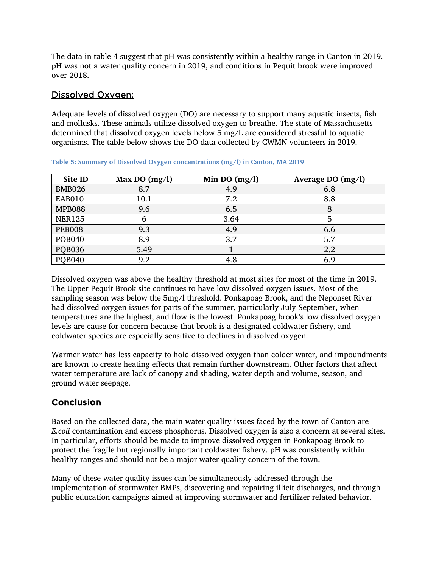The data in table 4 suggest that pH was consistently within a healthy range in Canton in 2019. pH was not a water quality concern in 2019, and conditions in Pequit brook were improved over 2018.

### Dissolved Oxygen:

Adequate levels of dissolved oxygen (DO) are necessary to support many aquatic insects, fish and mollusks. These animals utilize dissolved oxygen to breathe. The state of Massachusetts determined that dissolved oxygen levels below 5 mg/L are considered stressful to aquatic organisms. The table below shows the DO data collected by CWMN volunteers in 2019.

| Site ID       | Max DO $(mg/l)$ | Min DO $(mg/l)$ | Average DO $(mg/l)$ |
|---------------|-----------------|-----------------|---------------------|
| <b>BMB026</b> | 8.7             | 4.9             | 6.8                 |
| <b>EAB010</b> | 10.1            | 7.2             | 8.8                 |
| <b>MPB088</b> | 9.6             | 6.5             | 8                   |
| <b>NER125</b> | 6               | 3.64            | 5                   |
| <b>PEB008</b> | 9.3             | 4.9             | 6.6                 |
| <b>POB040</b> | 8.9             | 3.7             | 5.7                 |
| <b>PQB036</b> | 5.49            |                 | 2.2                 |
| <b>POB040</b> | 9.2             | 4.8             | 6.9                 |

**Table 5: Summary of Dissolved Oxygen concentrations (mg/l) in Canton, MA 2019**

Dissolved oxygen was above the healthy threshold at most sites for most of the time in 2019. The Upper Pequit Brook site continues to have low dissolved oxygen issues. Most of the sampling season was below the 5mg/l threshold. Ponkapoag Brook, and the Neponset River had dissolved oxygen issues for parts of the summer, particularly July-September, when temperatures are the highest, and flow is the lowest. Ponkapoag brook's low dissolved oxygen levels are cause for concern because that brook is a designated coldwater fishery, and coldwater species are especially sensitive to declines in dissolved oxygen.

Warmer water has less capacity to hold dissolved oxygen than colder water, and impoundments are known to create heating effects that remain further downstream. Other factors that affect water temperature are lack of canopy and shading, water depth and volume, season, and ground water seepage.

# Conclusion

Based on the collected data, the main water quality issues faced by the town of Canton are *E.coli* contamination and excess phosphorus. Dissolved oxygen is also a concern at several sites. In particular, efforts should be made to improve dissolved oxygen in Ponkapoag Brook to protect the fragile but regionally important coldwater fishery. pH was consistently within healthy ranges and should not be a major water quality concern of the town.

Many of these water quality issues can be simultaneously addressed through the implementation of stormwater BMPs, discovering and repairing illicit discharges, and through public education campaigns aimed at improving stormwater and fertilizer related behavior.